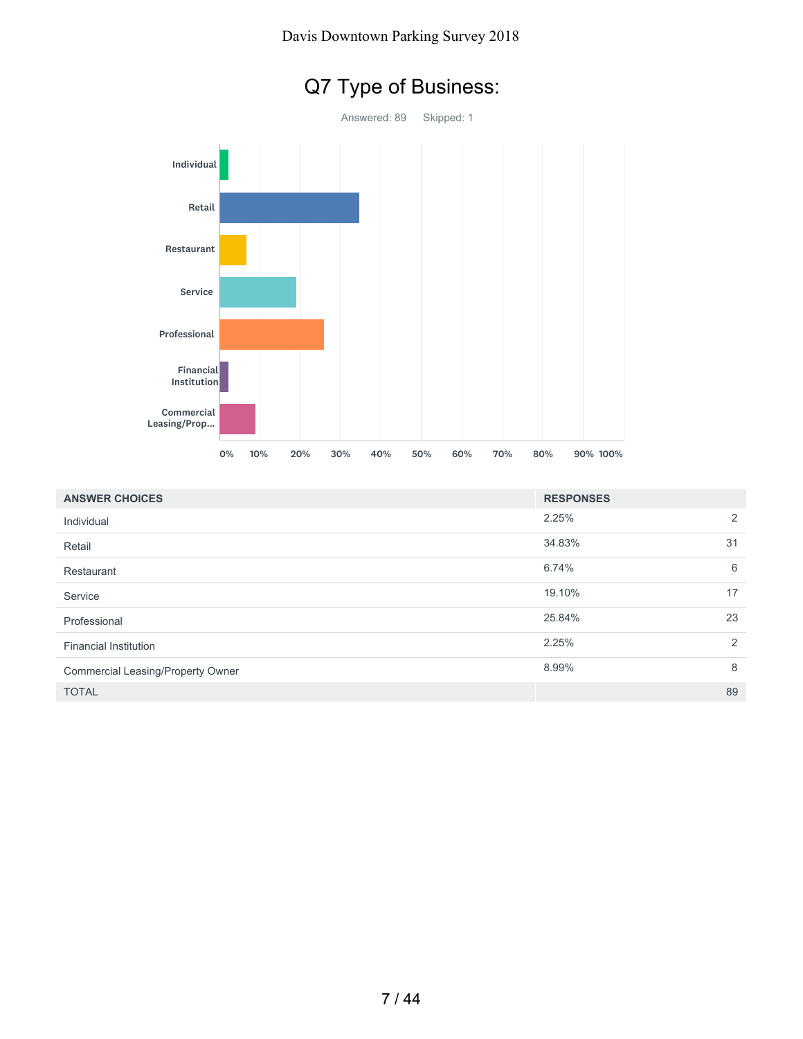

| <b>ANSWER CHOICES</b>             | <b>RESPONSES</b> |    |
|-----------------------------------|------------------|----|
| Individual                        | 2.25%            | 2  |
| Retail                            | 34.83%           | 31 |
| Restaurant                        | 6.74%            | 6  |
| Service                           | 19.10%           | 17 |
| Professional                      | 25.84%           | 23 |
| <b>Financial Institution</b>      | 2.25%            | 2  |
| Commercial Leasing/Property Owner | 8.99%            | 8  |
| <b>TOTAL</b>                      |                  | 89 |

# Q7 Type of Business: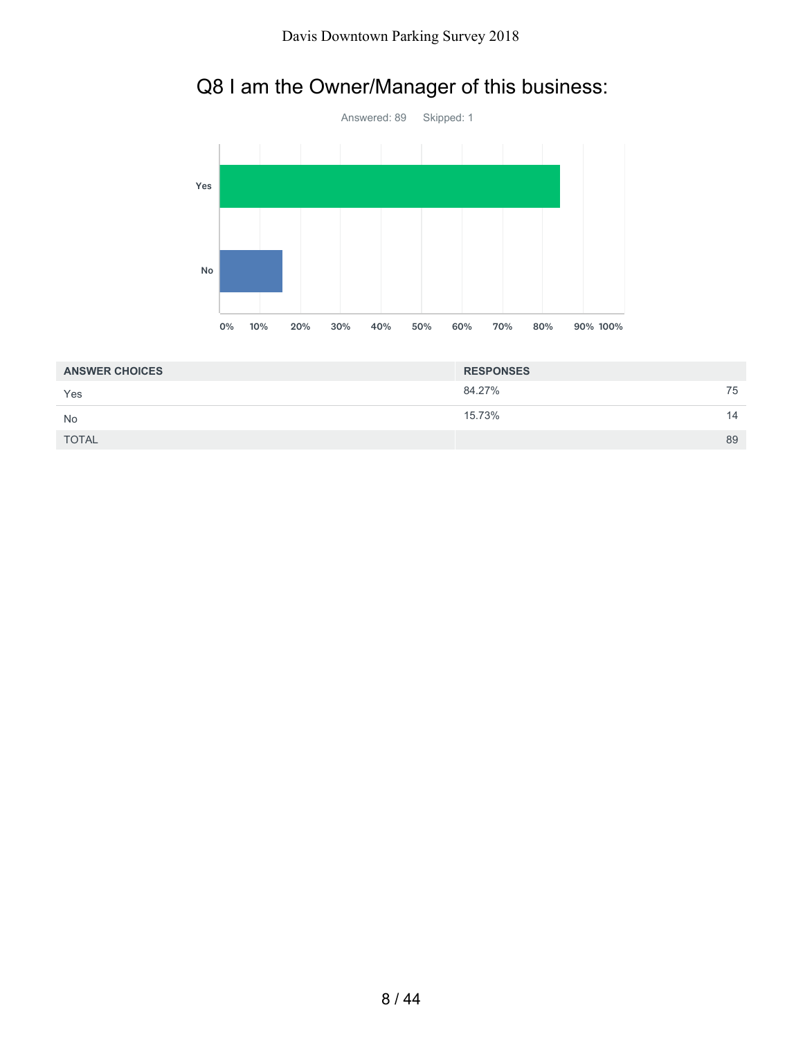



| <b>ANSWER CHOICES</b> | <b>RESPONSES</b> |    |
|-----------------------|------------------|----|
| Yes                   | 84.27%           | 75 |
| <b>No</b>             | 15.73%           | 14 |
| <b>TOTAL</b>          |                  | 89 |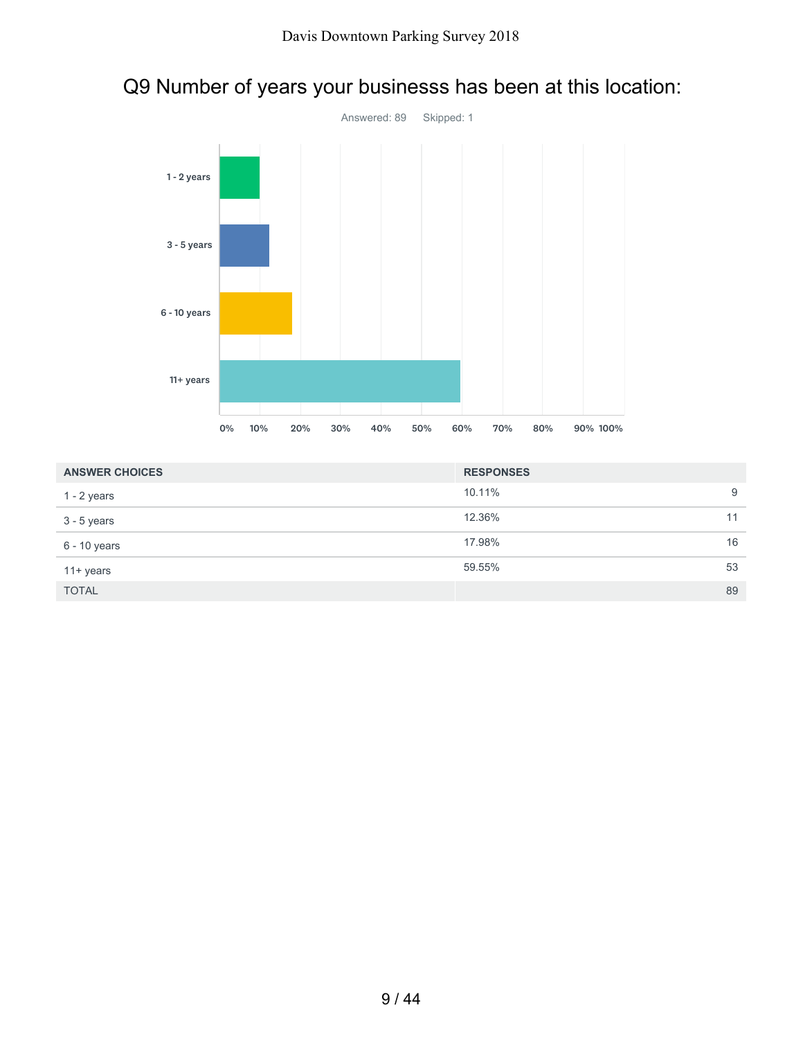

# Q9 Number of years your businesss has been at this location:

| <b>ANSWER CHOICES</b> | <b>RESPONSES</b> |    |
|-----------------------|------------------|----|
| 1 - 2 years           | 10.11%           | 9  |
| 3 - 5 years           | 12.36%           | 11 |
| 6 - 10 years          | 17.98%           | 16 |
| $11 + \gamma$ ears    | 59.55%           | 53 |
| <b>TOTAL</b>          |                  | 89 |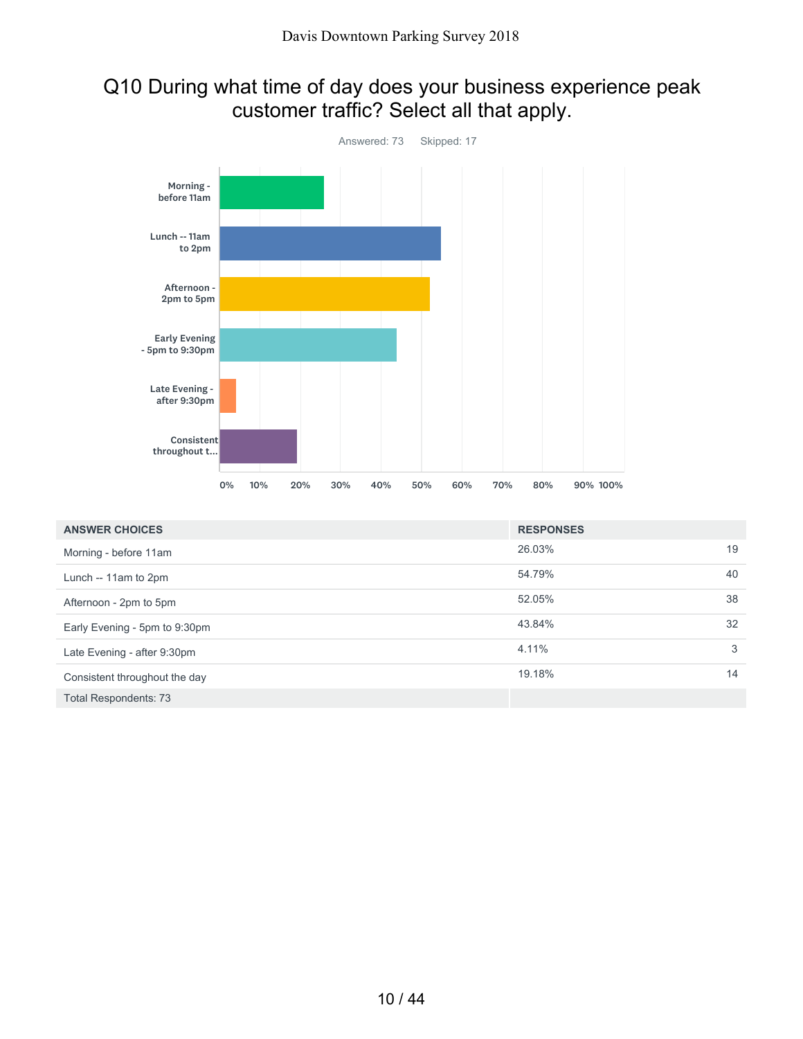# Q10 During what time of day does your business experience peak customer traffic? Select all that apply.



| <b>ANSWER CHOICES</b>         | <b>RESPONSES</b> |    |
|-------------------------------|------------------|----|
| Morning - before 11am         | 26.03%           | 19 |
| Lunch -- 11am to 2pm          | 54.79%           | 40 |
| Afternoon - 2pm to 5pm        | 52.05%           | 38 |
| Early Evening - 5pm to 9:30pm | 43.84%           | 32 |
| Late Evening - after 9:30pm   | 4.11%            | 3  |
| Consistent throughout the day | 19.18%           | 14 |
| <b>Total Respondents: 73</b>  |                  |    |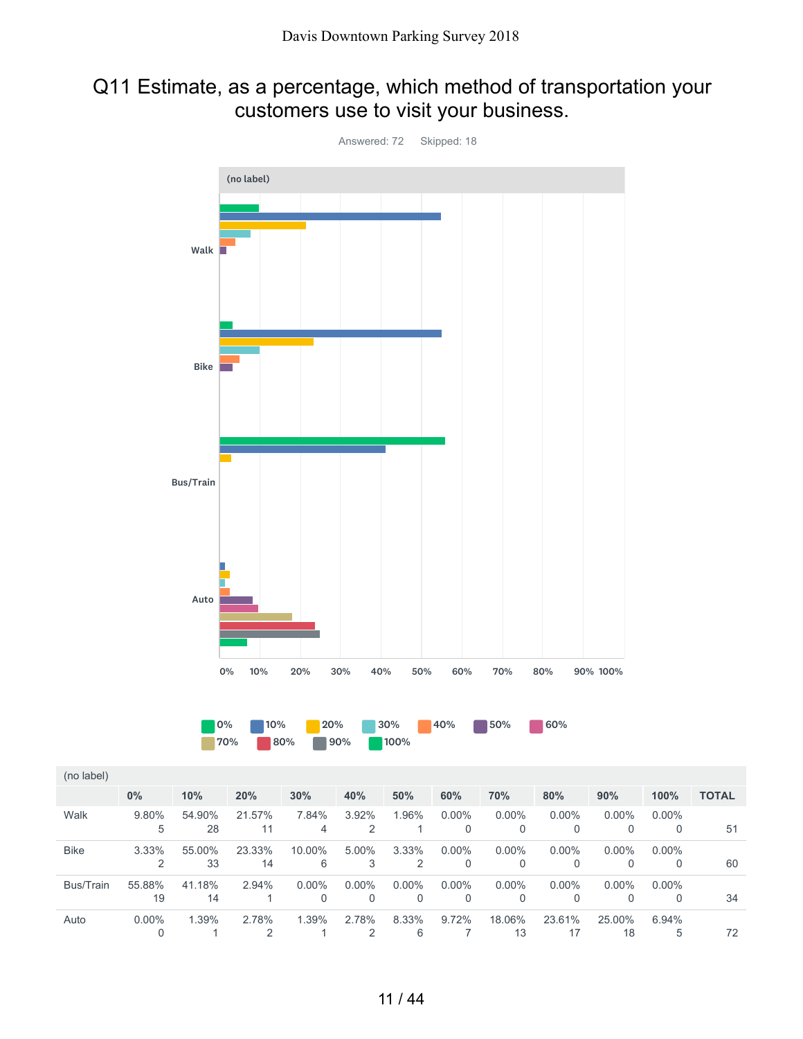### Q11 Estimate, as a percentage, which method of transportation your customers use to visit your business.



8.33% 6 9.72% 7 18.06% 13 23.61% 17 25.00% 18 6.94%

5 72

0.00% 0

Walk

Bike

Auto

1.39% 1 2.78% 2 1.39% 1 2.78% 2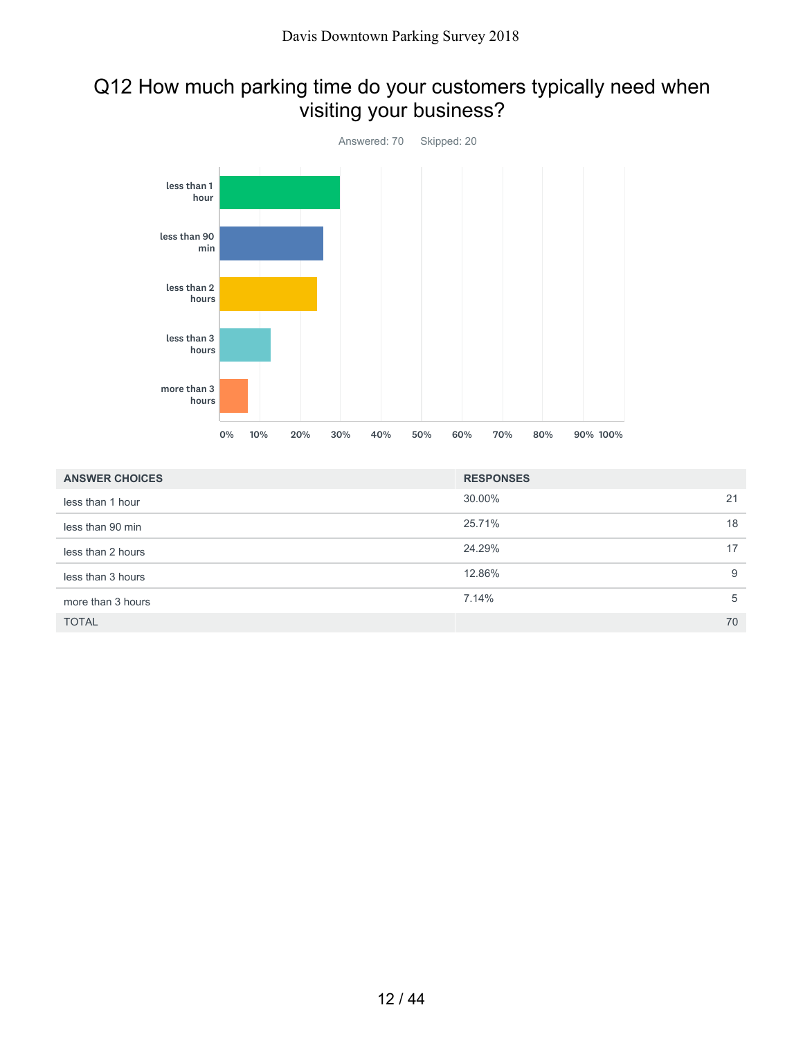# Q12 How much parking time do your customers typically need when visiting your business?



| <b>ANSWER CHOICES</b> | <b>RESPONSES</b> |    |
|-----------------------|------------------|----|
| less than 1 hour      | 30.00%           | 21 |
| less than 90 min      | 25.71%           | 18 |
| less than 2 hours     | 24.29%           | 17 |
| less than 3 hours     | 12.86%           | 9  |
| more than 3 hours     | 7.14%            | 5  |
| <b>TOTAL</b>          |                  | 70 |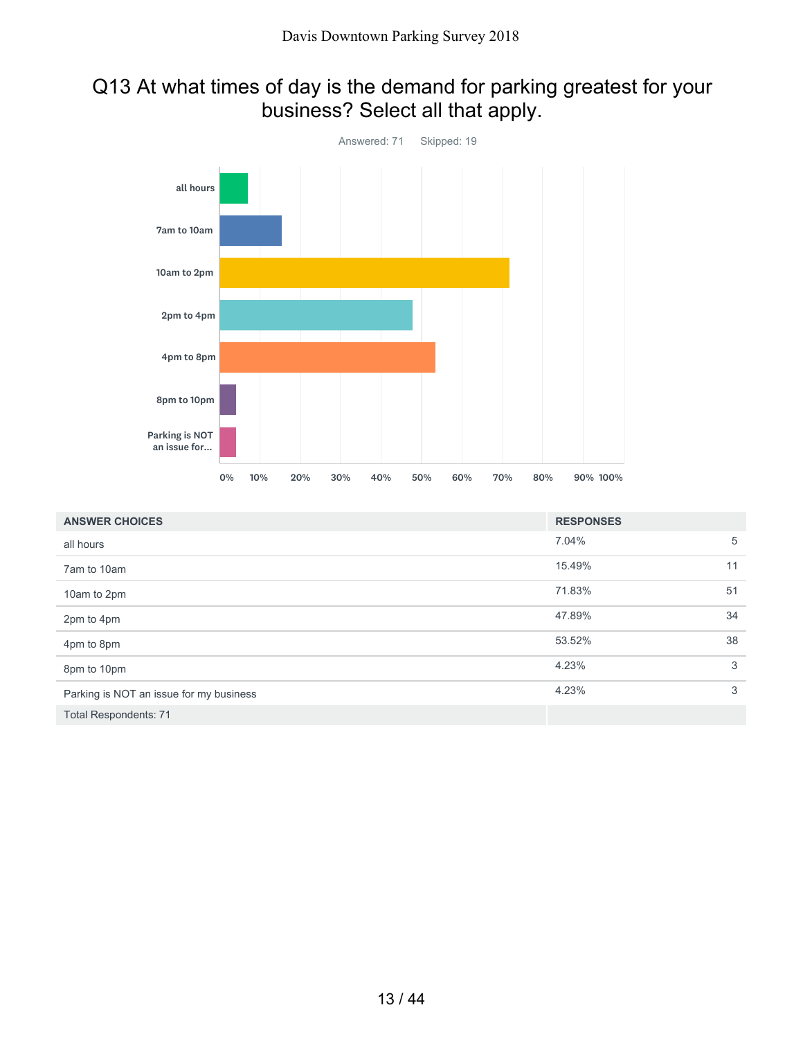# Q13 At what times of day is the demand for parking greatest for your business? Select all that apply.



| <b>ANSWER CHOICES</b>                   | <b>RESPONSES</b> |    |
|-----------------------------------------|------------------|----|
| all hours                               | 7.04%            | 5  |
| 7am to 10am                             | 15.49%           | 11 |
| 10am to 2pm                             | 71.83%           | 51 |
| 2pm to 4pm                              | 47.89%           | 34 |
| 4pm to 8pm                              | 53.52%           | 38 |
| 8pm to 10pm                             | 4.23%            | 3  |
| Parking is NOT an issue for my business | 4.23%            | 3  |
| <b>Total Respondents: 71</b>            |                  |    |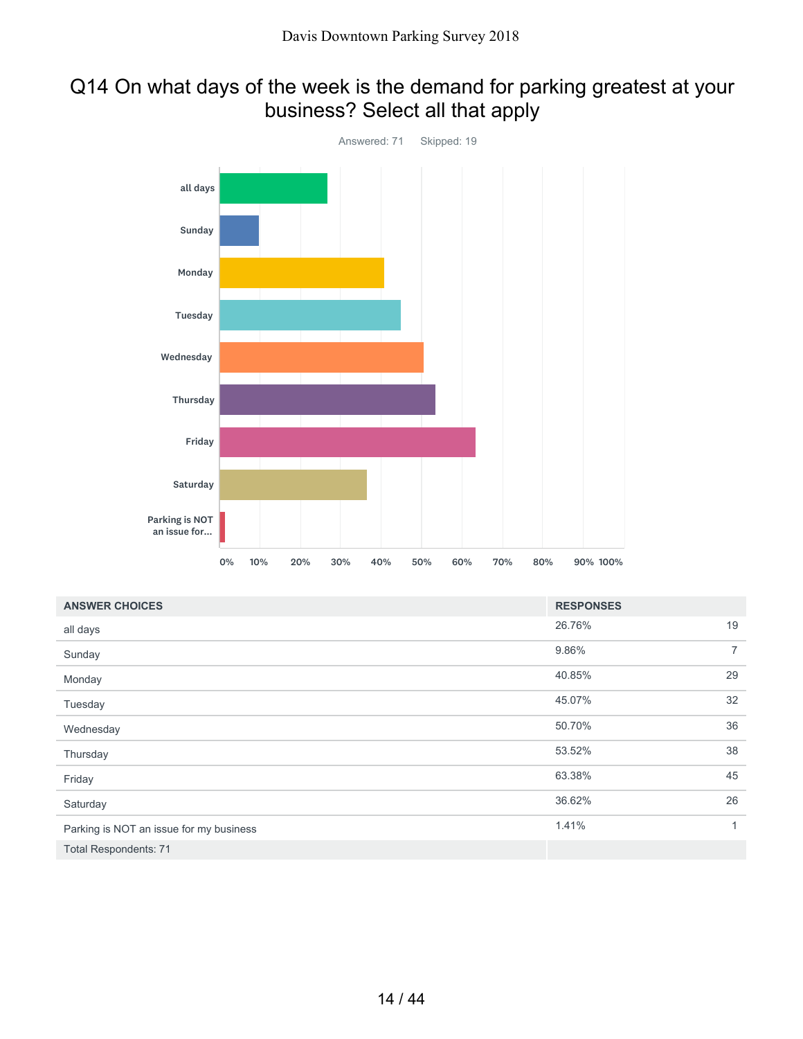# Q14 On what days of the week is the demand for parking greatest at your business? Select all that apply



| <b>ANSWER CHOICES</b>                   | <b>RESPONSES</b> |                |
|-----------------------------------------|------------------|----------------|
| all days                                | 26.76%           | 19             |
| Sunday                                  | 9.86%            | $\overline{7}$ |
| Monday                                  | 40.85%           | 29             |
| Tuesday                                 | 45.07%           | 32             |
| Wednesday                               | 50.70%           | 36             |
| Thursday                                | 53.52%           | 38             |
| Friday                                  | 63.38%           | 45             |
| Saturday                                | 36.62%           | 26             |
| Parking is NOT an issue for my business | 1.41%            | 1              |
| <b>Total Respondents: 71</b>            |                  |                |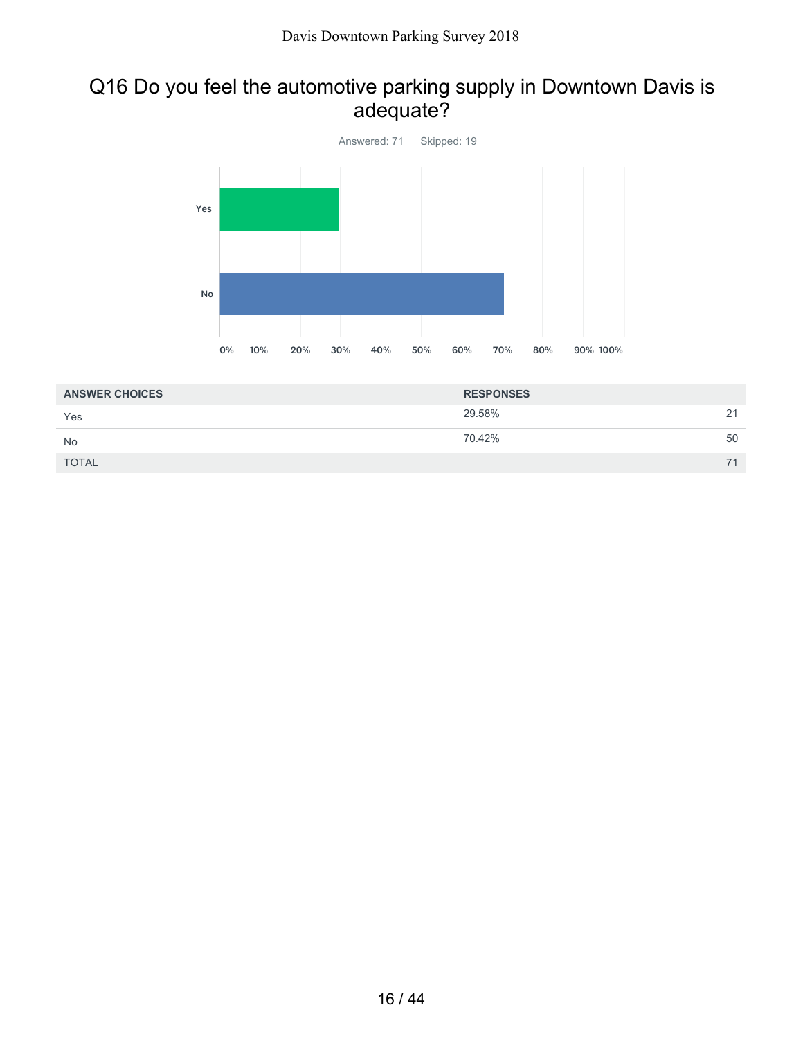### Q16 Do you feel the automotive parking supply in Downtown Davis is adequate?



| <b>ANSWER CHOICES</b> | <b>RESPONSES</b> |    |
|-----------------------|------------------|----|
| Yes                   | 29.58%           | 21 |
| No                    | 70.42%           | 50 |
| <b>TOTAL</b>          |                  | 71 |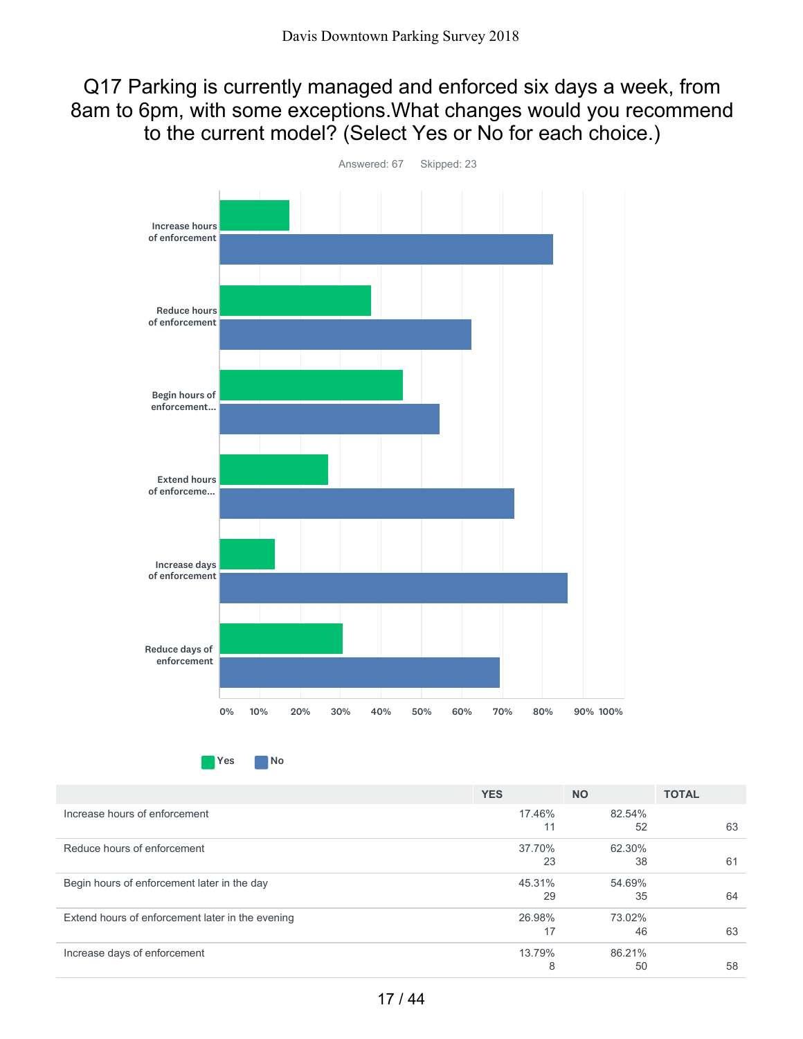Q17 Parking is currently managed and enforced six days a week, from 8am to 6pm, with some exceptions.What changes would you recommend to the current model? (Select Yes or No for each choice.)



Yes No

|                                                  | <b>YES</b> | <b>NO</b> | <b>TOTAL</b> |
|--------------------------------------------------|------------|-----------|--------------|
| Increase hours of enforcement                    | 17.46%     | 82.54%    |              |
|                                                  | 11         | 52        | 63           |
| Reduce hours of enforcement                      | 37.70%     | 62.30%    |              |
|                                                  | 23         | 38        | 61           |
| Begin hours of enforcement later in the day      | 45.31%     | 54.69%    |              |
|                                                  | 29         | 35        | 64           |
| Extend hours of enforcement later in the evening | 26.98%     | 73.02%    |              |
|                                                  | 17         | 46        | 63           |
| Increase days of enforcement                     | 13.79%     | 86.21%    |              |
|                                                  | 8          | 50        | 58           |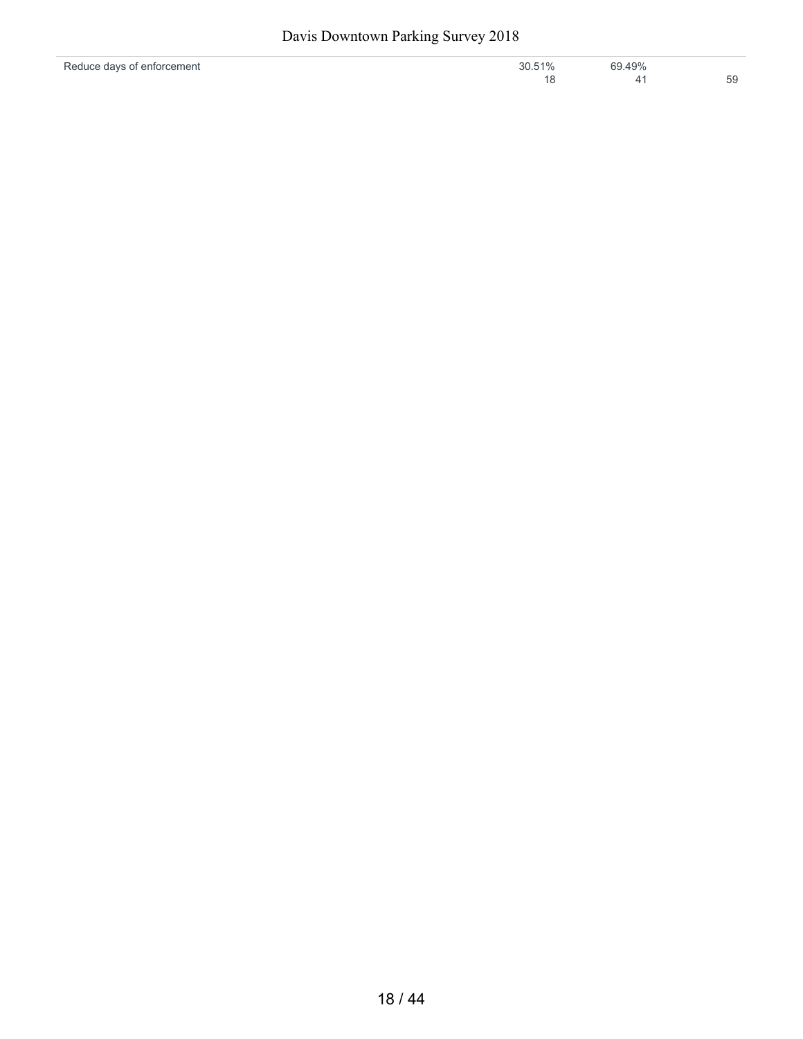| Reduce days of enforcement | 30.51% | 69.49% |    |
|----------------------------|--------|--------|----|
|                            |        |        | 59 |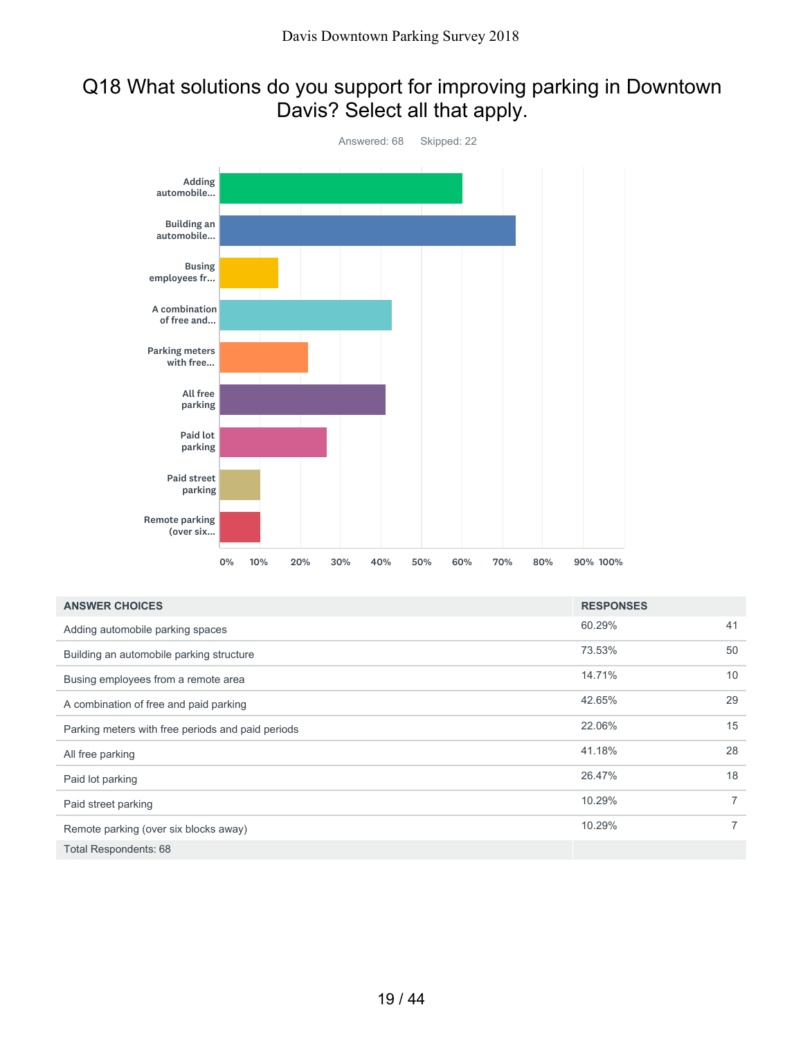# Q18 What solutions do you support for improving parking in Downtown Davis? Select all that apply.



| <b>ANSWER CHOICES</b>                             | <b>RESPONSES</b> |                |
|---------------------------------------------------|------------------|----------------|
| Adding automobile parking spaces                  | 60.29%           | 41             |
| Building an automobile parking structure          | 73.53%           | 50             |
| Busing employees from a remote area               | 14.71%           | 10             |
| A combination of free and paid parking            | 42.65%           | 29             |
| Parking meters with free periods and paid periods | 22.06%           | 15             |
| All free parking                                  | 41.18%           | 28             |
| Paid lot parking                                  | 26.47%           | 18             |
| Paid street parking                               | 10.29%           | $\overline{7}$ |
| Remote parking (over six blocks away)             | 10.29%           | $\overline{7}$ |
| Total Respondents: 68                             |                  |                |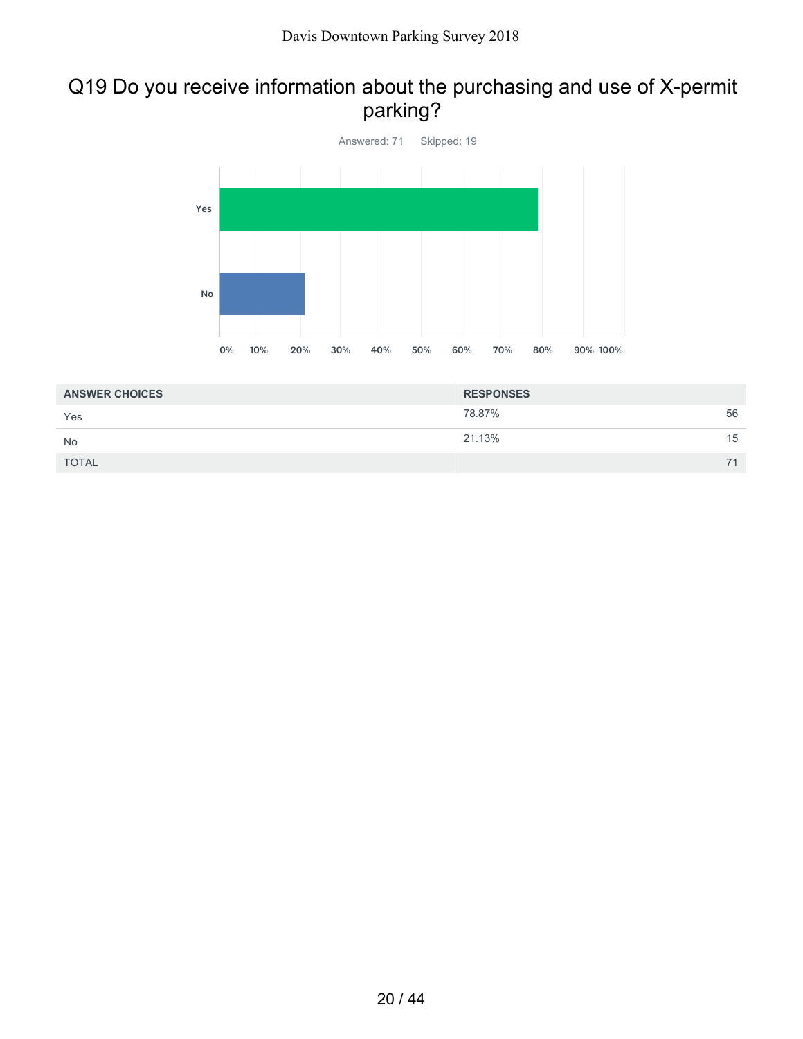# Q19 Do you receive information about the purchasing and use of X-permit parking?



| <b>ANSWER CHOICES</b> | <b>RESPONSES</b> |    |
|-----------------------|------------------|----|
| Yes                   | 78.87%           | 56 |
| <b>No</b>             | 21.13%           | 15 |
| <b>TOTAL</b>          |                  | 71 |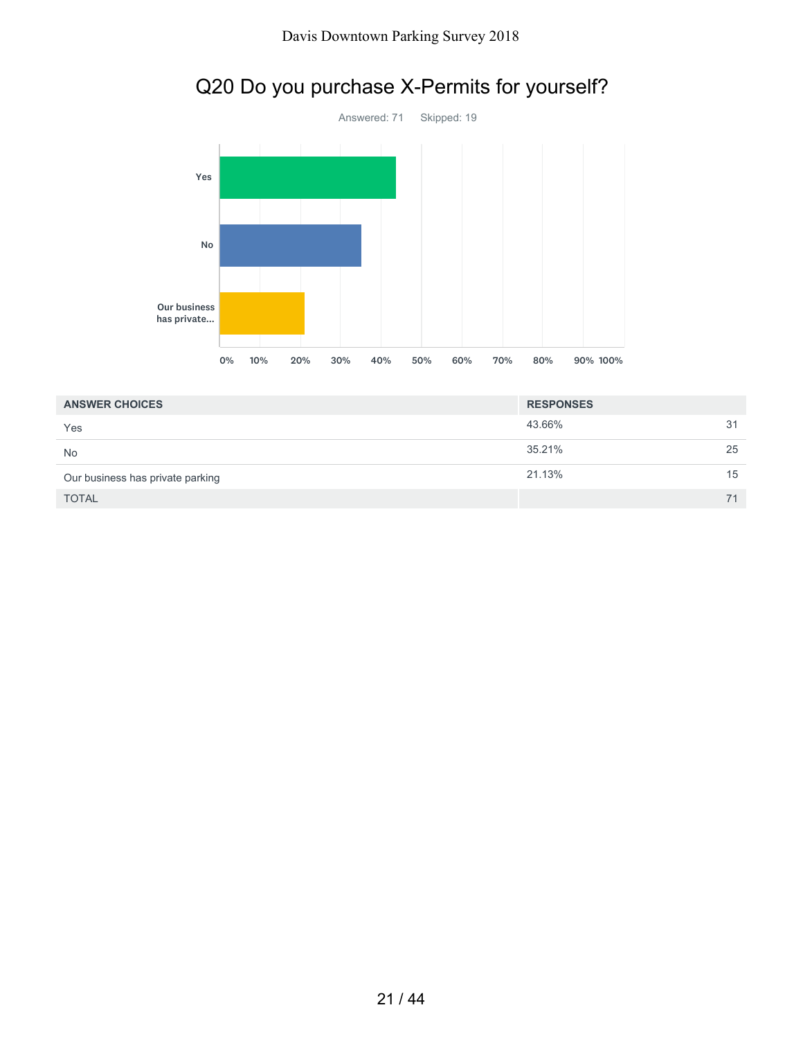

# Q20 Do you purchase X-Permits for yourself?

| <b>ANSWER CHOICES</b>            | <b>RESPONSES</b> |    |
|----------------------------------|------------------|----|
| Yes                              | 43.66%           | 31 |
| <b>No</b>                        | 35.21%           | 25 |
| Our business has private parking | 21.13%           | 15 |
| <b>TOTAL</b>                     |                  | 71 |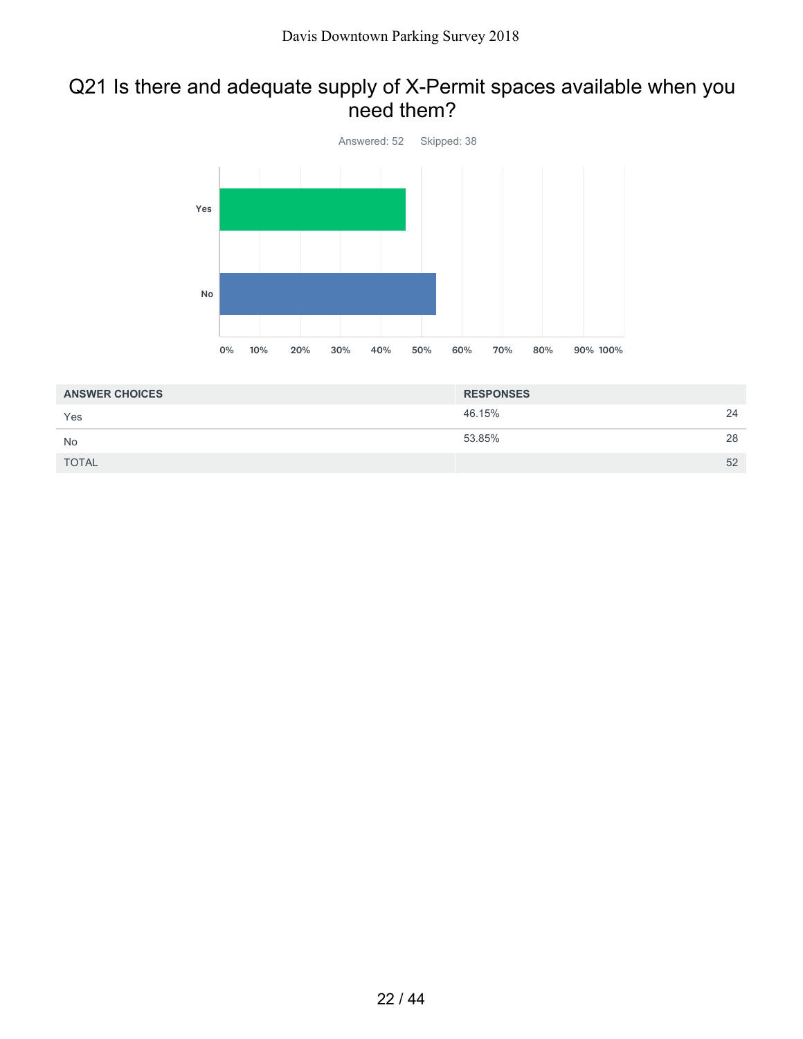### Q21 Is there and adequate supply of X-Permit spaces available when you need them?



| <b>ANSWER CHOICES</b> | <b>RESPONSES</b> |    |
|-----------------------|------------------|----|
| Yes                   | 46.15%           | 24 |
| <b>No</b>             | 53.85%           | 28 |
| <b>TOTAL</b>          |                  | 52 |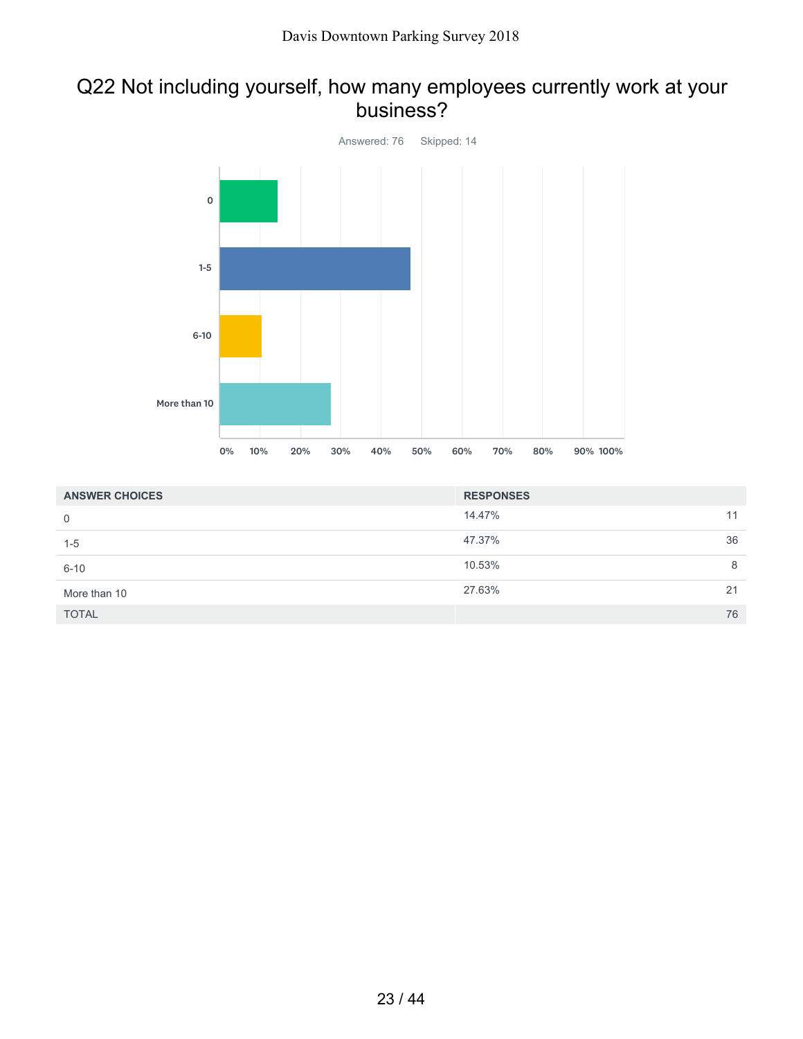### Q22 Not including yourself, how many employees currently work at your business?



| <b>ANSWER CHOICES</b> | <b>RESPONSES</b> |    |
|-----------------------|------------------|----|
| $\mathbf 0$           | 14.47%           | 11 |
| $1 - 5$               | 47.37%           | 36 |
| $6 - 10$              | 10.53%           | 8  |
| More than 10          | 27.63%           | 21 |
| <b>TOTAL</b>          |                  | 76 |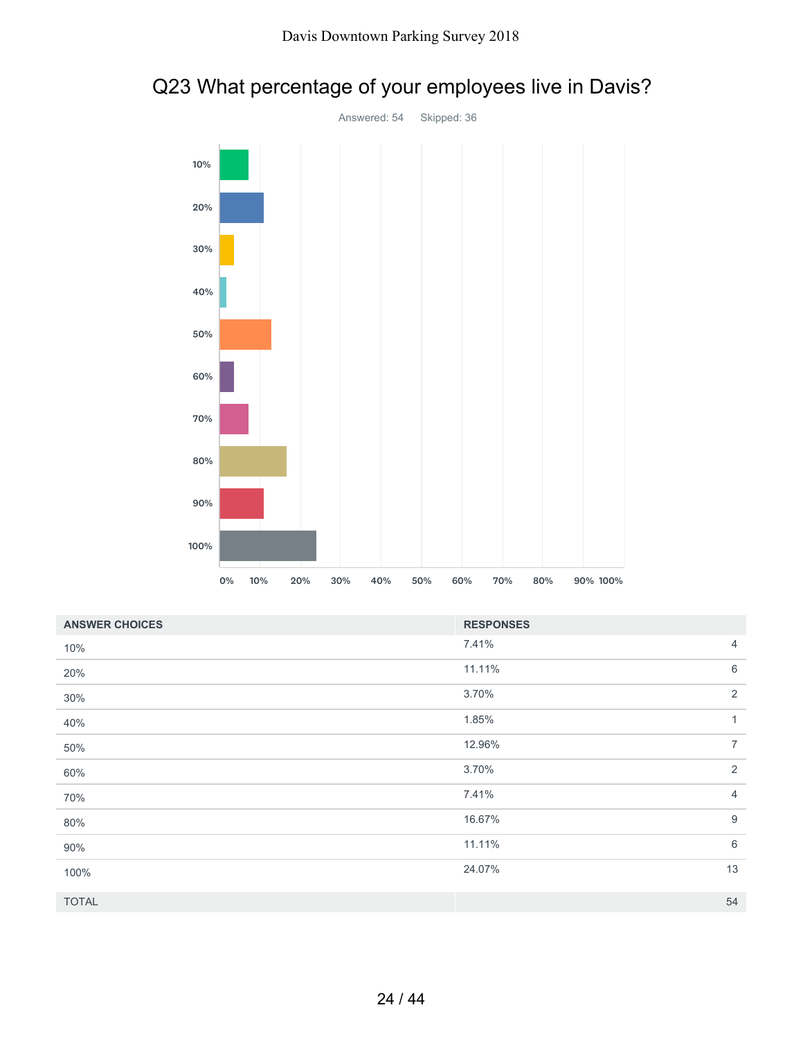

# Q23 What percentage of your employees live in Davis?

| <b>ANSWER CHOICES</b> | <b>RESPONSES</b> |                |
|-----------------------|------------------|----------------|
| 10%                   | 7.41%            | 4              |
| 20%                   | 11.11%           | $\,6$          |
| 30%                   | 3.70%            | $\overline{2}$ |
| 40%                   | 1.85%            | $\mathbf{1}$   |
| 50%                   | 12.96%           | $\overline{7}$ |
| 60%                   | 3.70%            | 2              |
| 70%                   | 7.41%            | $\overline{4}$ |
| 80%                   | 16.67%           | 9              |
| 90%                   | 11.11%           | 6              |
| 100%                  | 24.07%           | 13             |
| <b>TOTAL</b>          |                  | 54             |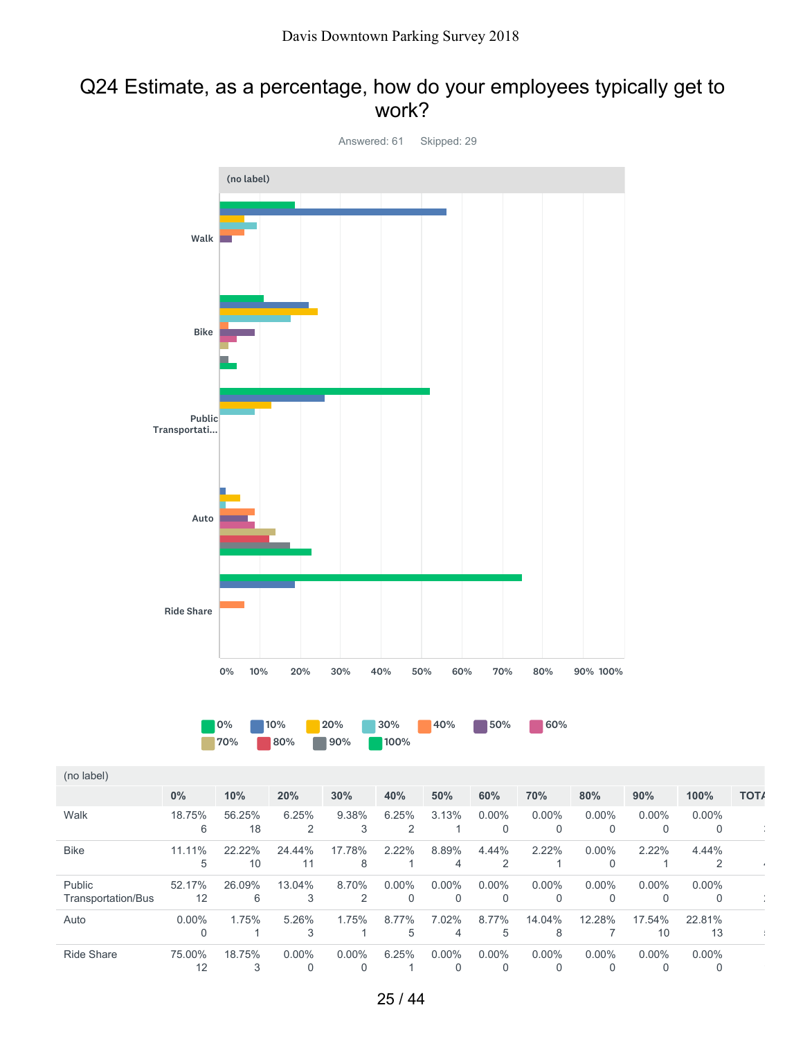#### Q24 Estimate, as a percentage, how do your employees typically get to work?

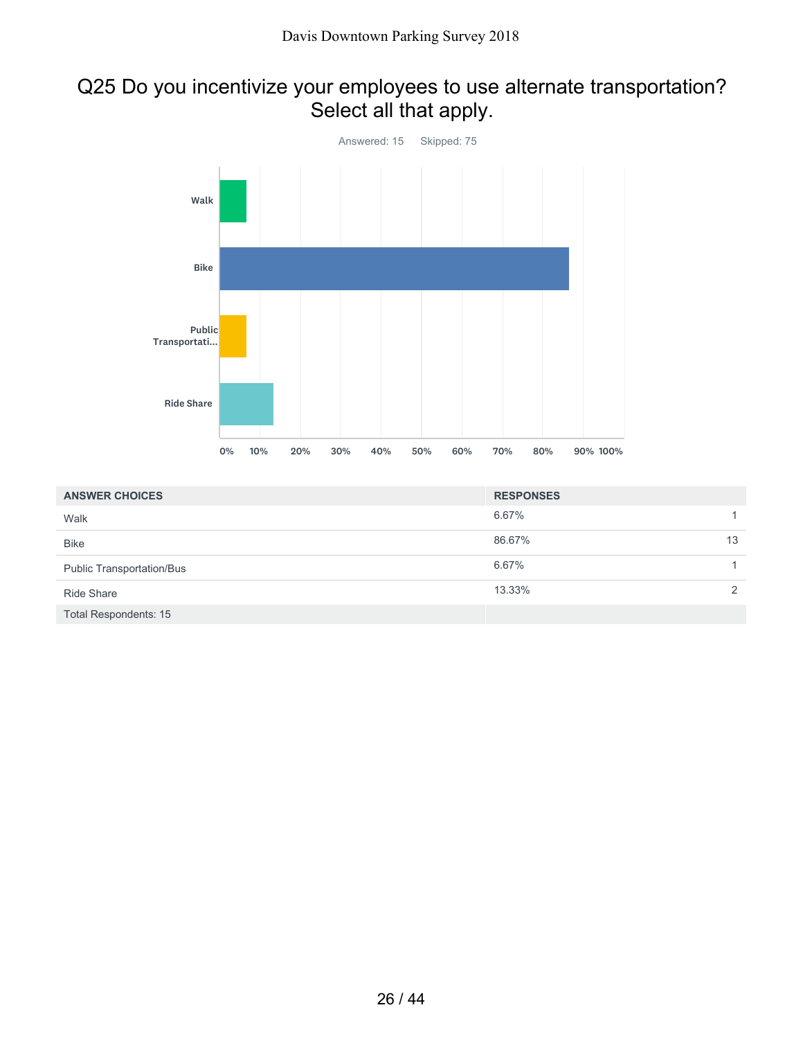# Q25 Do you incentivize your employees to use alternate transportation? Select all that apply.



| <b>ANSWER CHOICES</b>            | <b>RESPONSES</b> |               |
|----------------------------------|------------------|---------------|
| Walk                             | 6.67%            | 1.            |
| <b>Bike</b>                      | 86.67%           | 13            |
| <b>Public Transportation/Bus</b> | 6.67%            |               |
| <b>Ride Share</b>                | 13.33%           | $\mathcal{P}$ |
| <b>Total Respondents: 15</b>     |                  |               |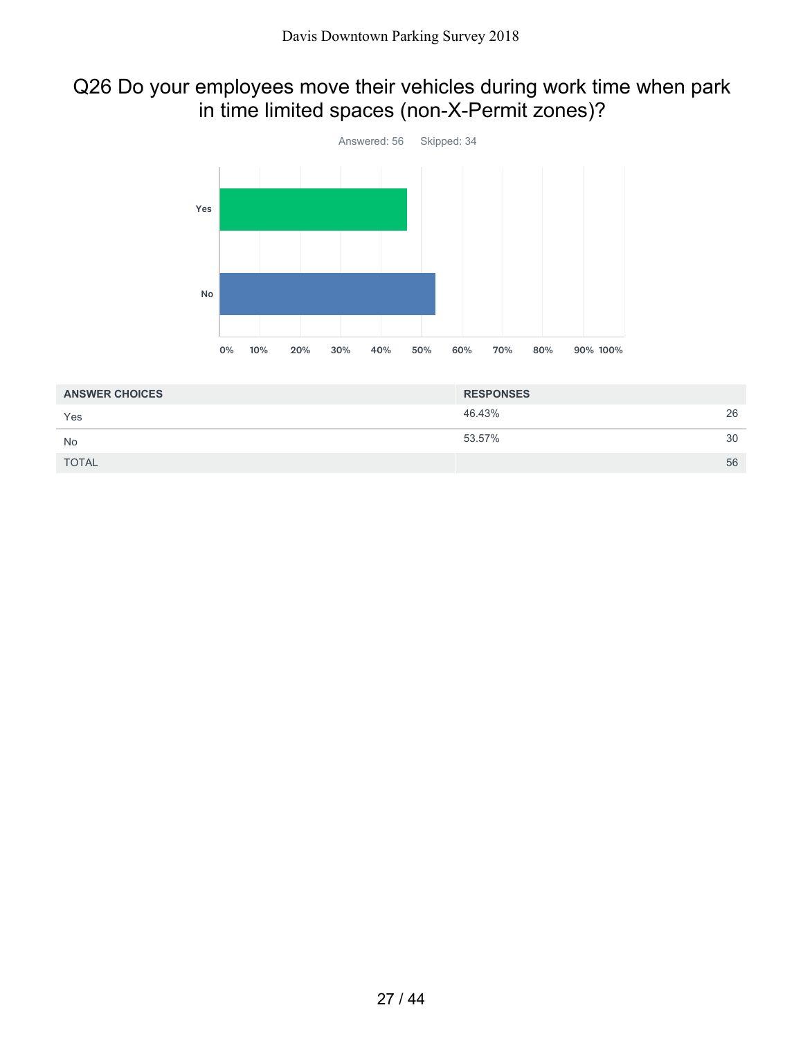# Q26 Do your employees move their vehicles during work time when park in time limited spaces (non-X-Permit zones)?



| <b>ANSWER CHOICES</b> | <b>RESPONSES</b> |    |
|-----------------------|------------------|----|
| Yes                   | 46.43%           | 26 |
| <b>No</b>             | 53.57%           | 30 |
| <b>TOTAL</b>          |                  | 56 |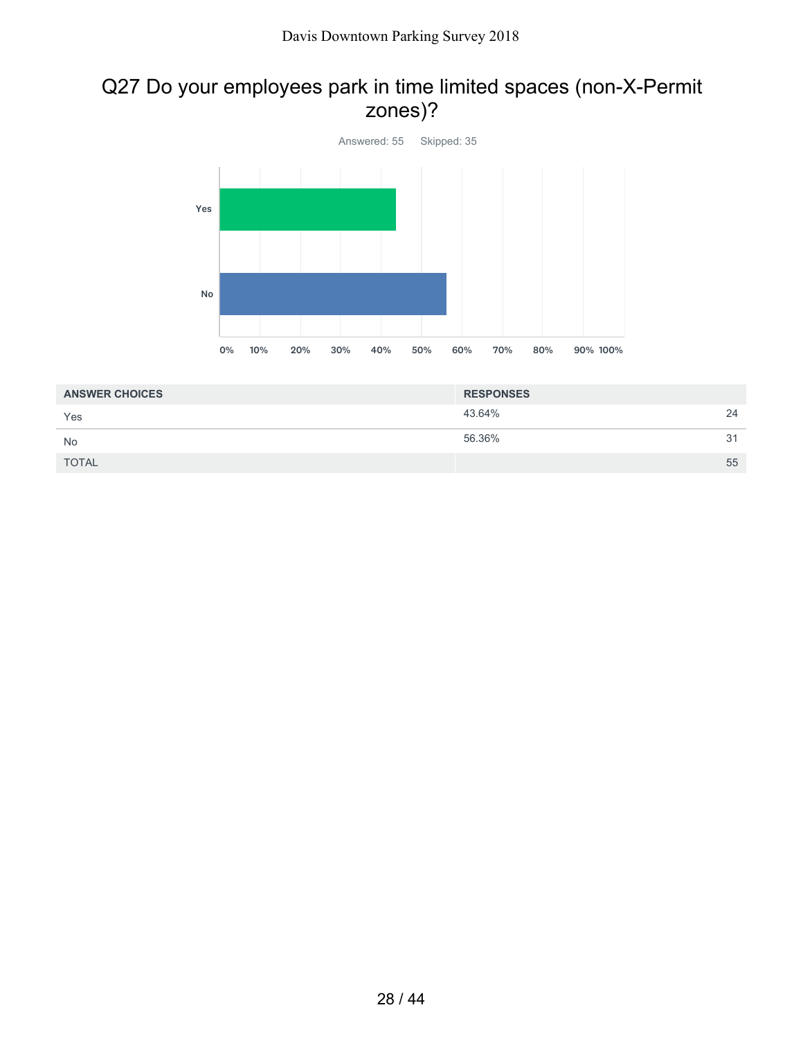# Q27 Do your employees park in time limited spaces (non-X-Permit zones)?



| <b>ANSWER CHOICES</b> | <b>RESPONSES</b> |    |
|-----------------------|------------------|----|
| Yes                   | 43.64%           | 24 |
| <b>No</b>             | 56.36%           | 31 |
| <b>TOTAL</b>          |                  | 55 |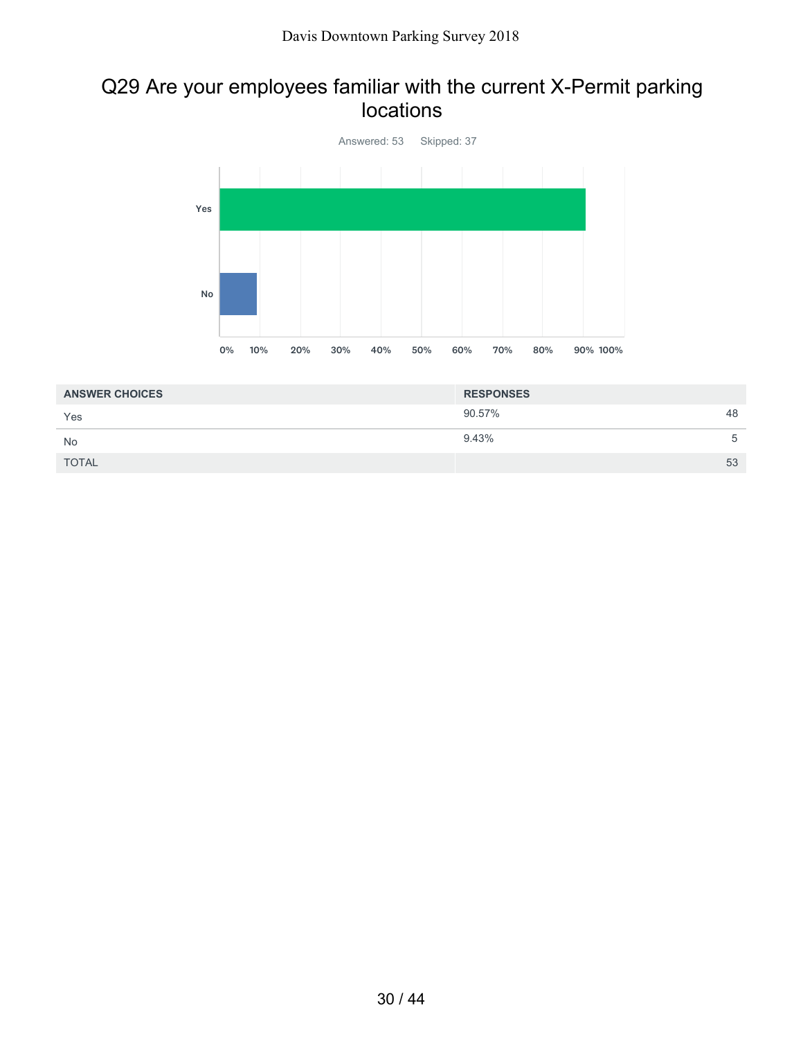### Q29 Are your employees familiar with the current X-Permit parking locations



| <b>ANSWER CHOICES</b> | <b>RESPONSES</b> |    |
|-----------------------|------------------|----|
| Yes                   | 90.57%           | 48 |
| <b>No</b>             | 9.43%            | 5  |
| <b>TOTAL</b>          |                  | 53 |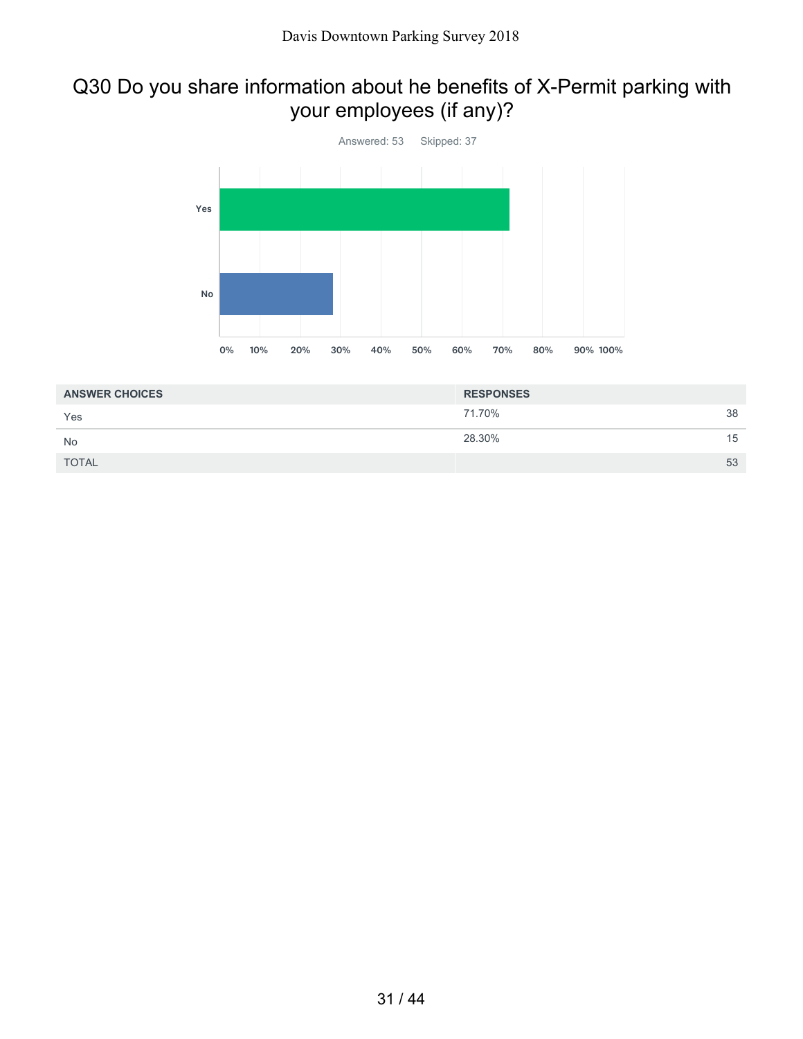# Q30 Do you share information about he benefits of X-Permit parking with your employees (if any)?



| <b>ANSWER CHOICES</b> | <b>RESPONSES</b> |    |
|-----------------------|------------------|----|
| Yes                   | 71.70%           | 38 |
| No                    | 28.30%           | 15 |
| <b>TOTAL</b>          |                  | 53 |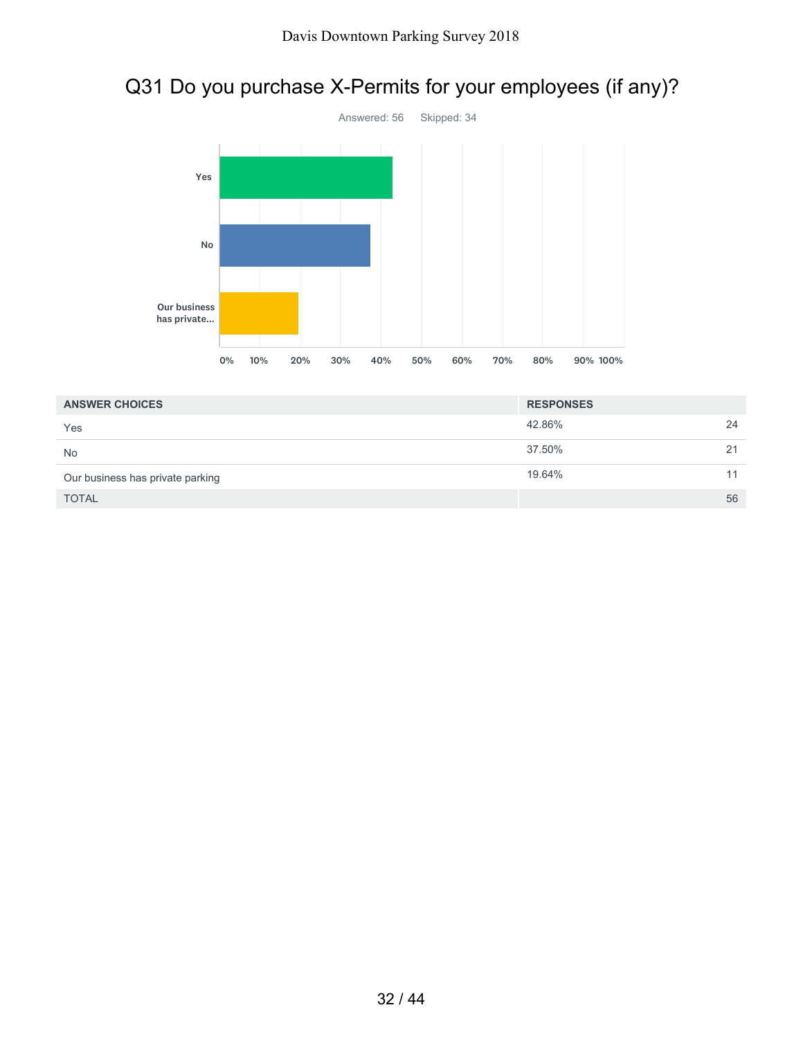# Q31 Do you purchase X-Permits for your employees (if any)?



| <b>ANSWER CHOICES</b>            | <b>RESPONSES</b> |    |
|----------------------------------|------------------|----|
| Yes                              | 42.86%           | 24 |
| <b>No</b>                        | 37.50%           | 21 |
| Our business has private parking | 19.64%           | 11 |
| <b>TOTAL</b>                     |                  | 56 |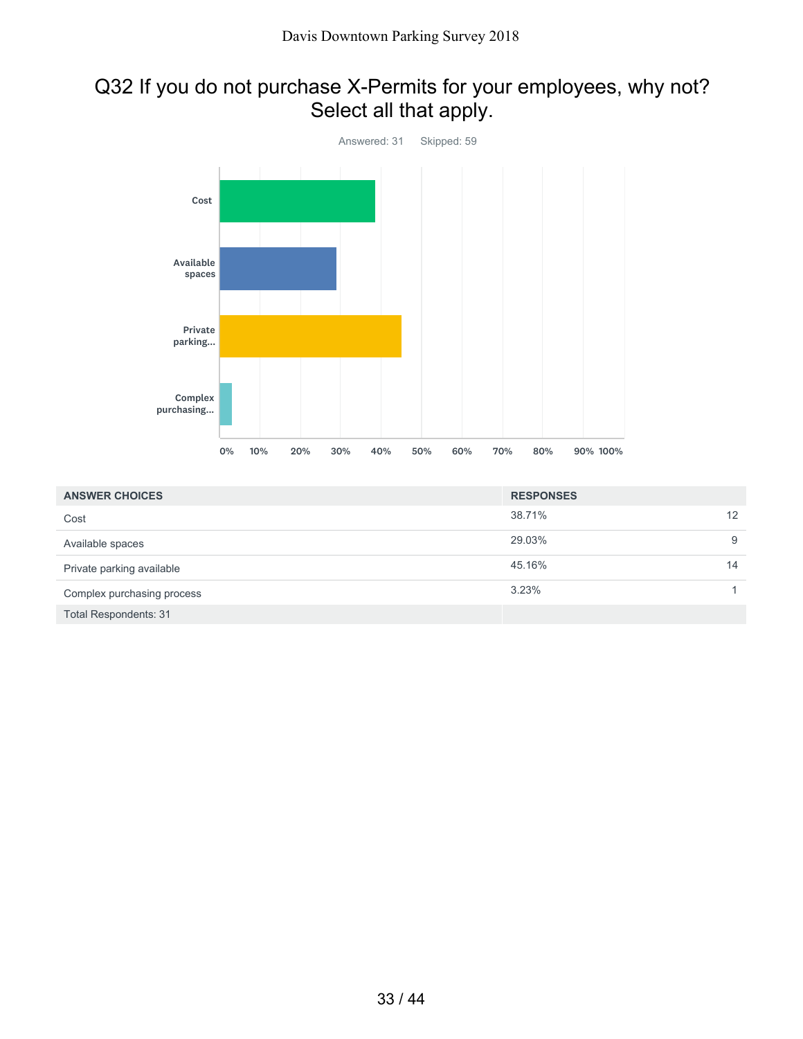# Q32 If you do not purchase X-Permits for your employees, why not? Select all that apply.



| <b>ANSWER CHOICES</b>        | <b>RESPONSES</b> |    |
|------------------------------|------------------|----|
| Cost                         | 38.71%           | 12 |
| Available spaces             | 29.03%           | 9  |
| Private parking available    | 45.16%           | 14 |
| Complex purchasing process   | 3.23%            |    |
| <b>Total Respondents: 31</b> |                  |    |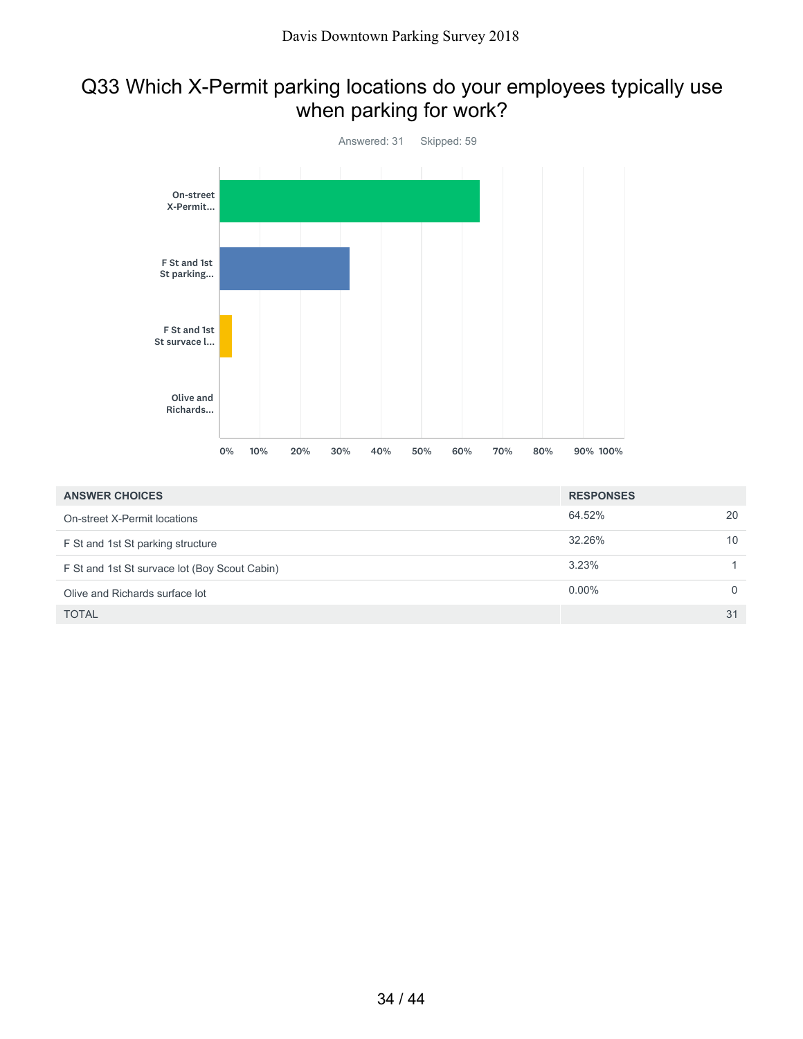# Q33 Which X-Permit parking locations do your employees typically use when parking for work?



| <b>ANSWER CHOICES</b>                         | <b>RESPONSES</b> |    |
|-----------------------------------------------|------------------|----|
| On-street X-Permit locations                  | 64.52%           | 20 |
| F St and 1st St parking structure             | 32.26%           | 10 |
| F St and 1st St survace lot (Boy Scout Cabin) | 3.23%            |    |
| Olive and Richards surface lot                | $0.00\%$         |    |
| <b>TOTAL</b>                                  |                  | 31 |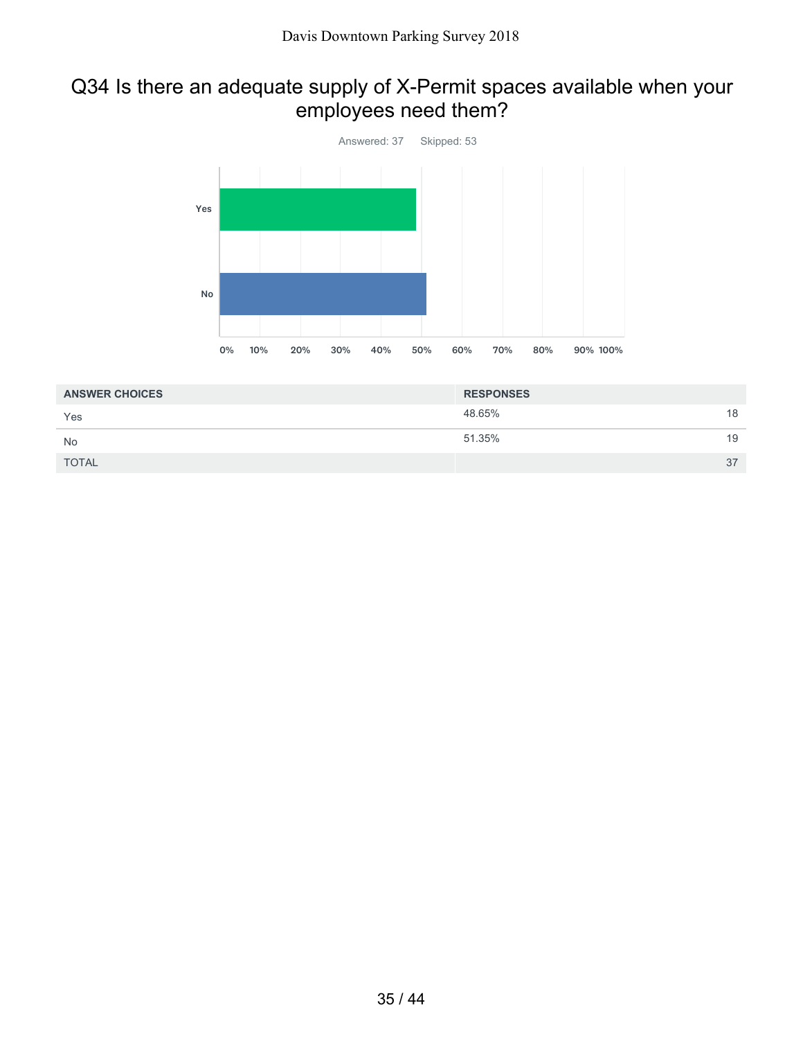# Q34 Is there an adequate supply of X-Permit spaces available when your employees need them?



| <b>ANSWER CHOICES</b> | <b>RESPONSES</b> |    |
|-----------------------|------------------|----|
| Yes                   | 48.65%           | 18 |
| No                    | 51.35%           | 19 |
| <b>TOTAL</b>          |                  | 37 |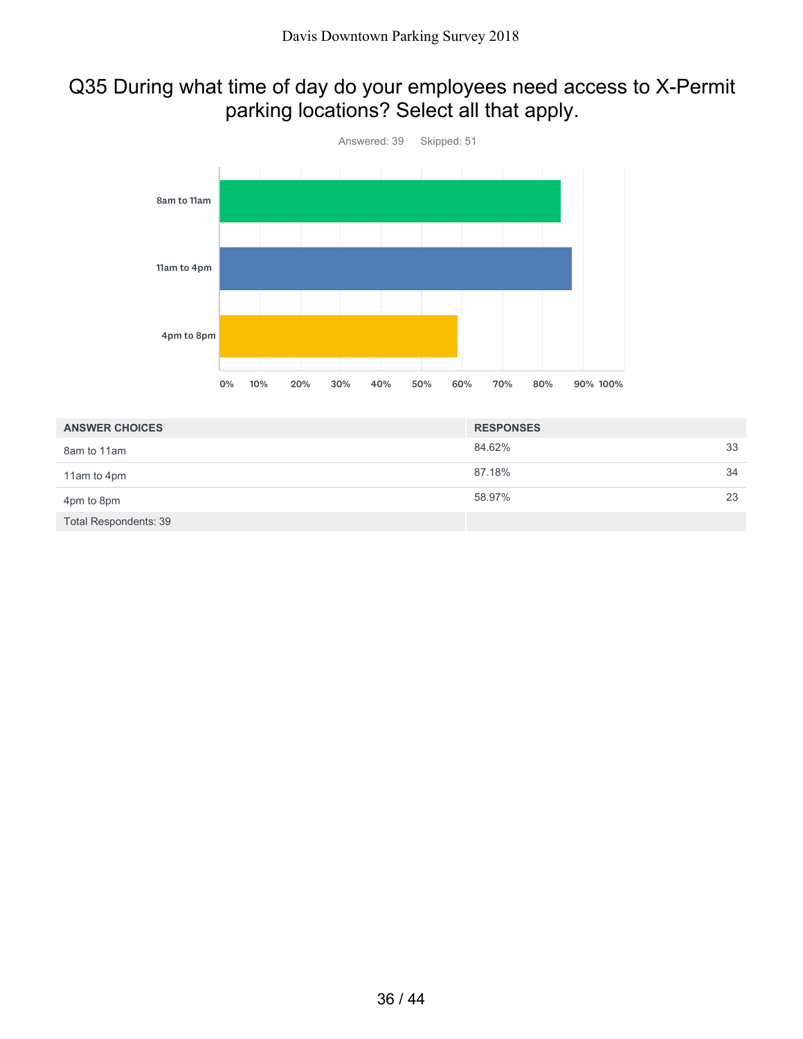# Q35 During what time of day do your employees need access to X-Permit parking locations? Select all that apply.



| <b>ANSWER CHOICES</b>        | <b>RESPONSES</b> |    |
|------------------------------|------------------|----|
| 8am to 11am                  | 84.62%           | 33 |
| 11am to 4pm                  | 87.18%           | 34 |
| 4pm to 8pm                   | 58.97%           | 23 |
| <b>Total Respondents: 39</b> |                  |    |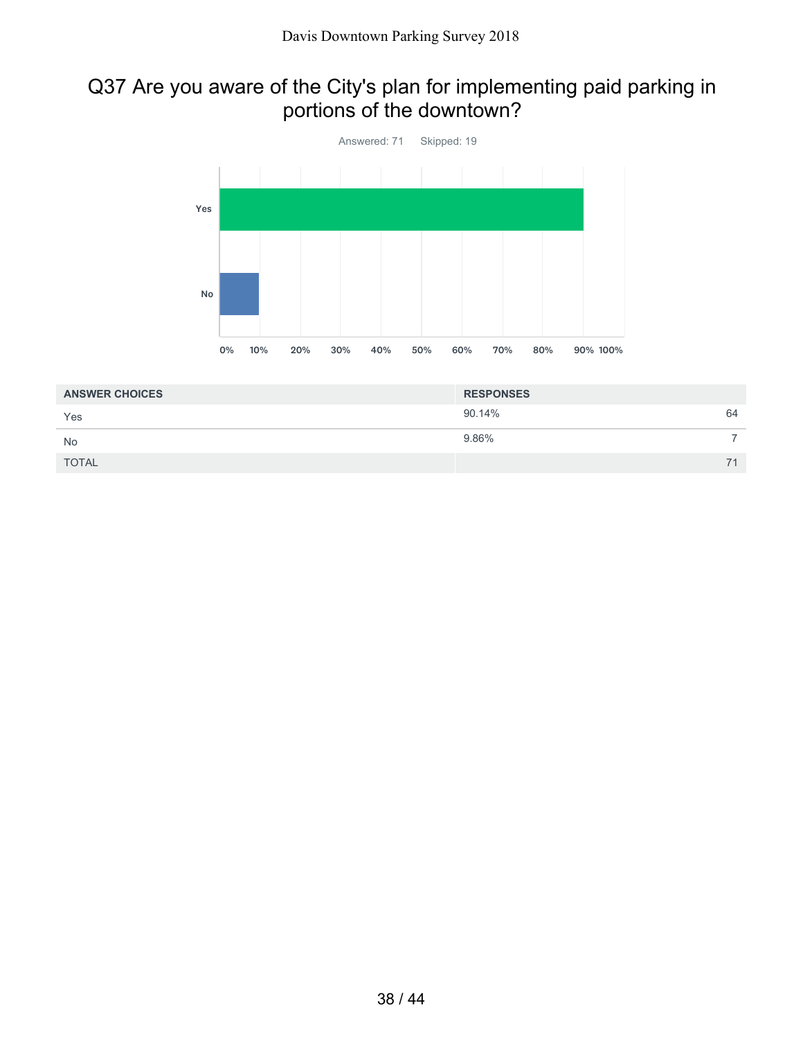# Q37 Are you aware of the City's plan for implementing paid parking in portions of the downtown?



| <b>ANSWER CHOICES</b> | <b>RESPONSES</b> |    |
|-----------------------|------------------|----|
| Yes                   | 90.14%           | 64 |
| <b>No</b>             | 9.86%            |    |
| <b>TOTAL</b>          |                  |    |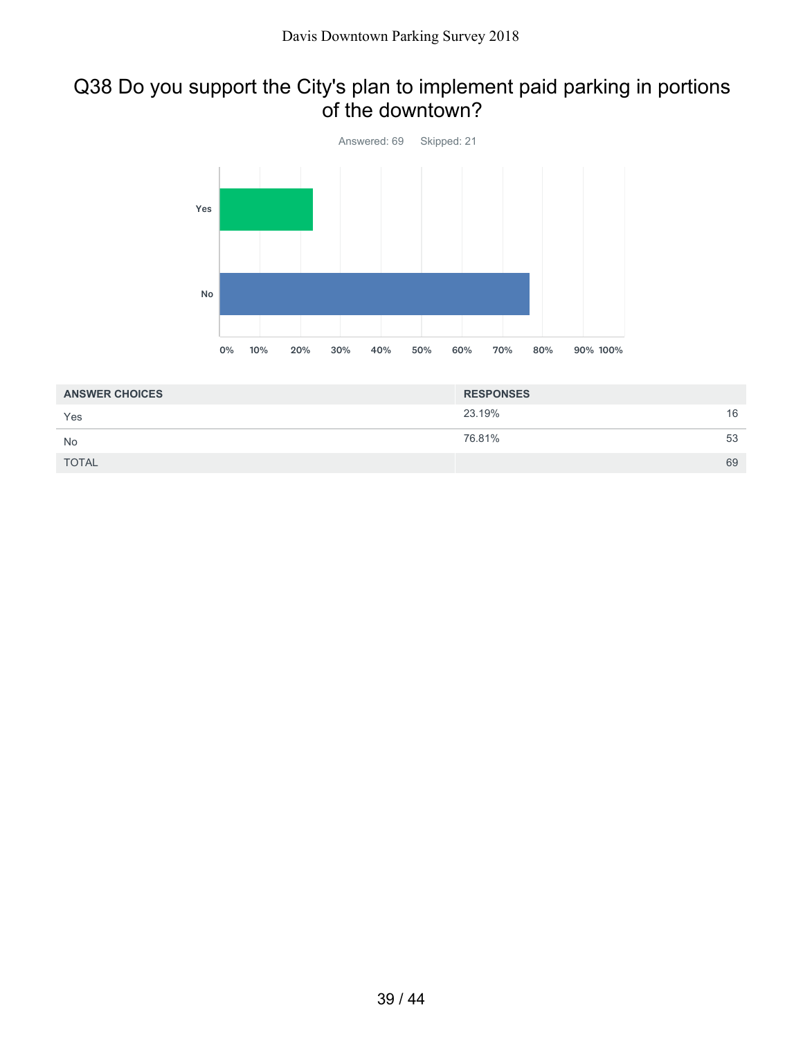### Q38 Do you support the City's plan to implement paid parking in portions of the downtown?



| <b>ANSWER CHOICES</b> | <b>RESPONSES</b> |    |
|-----------------------|------------------|----|
| Yes                   | 23.19%           | 16 |
| <b>No</b>             | 76.81%           | 53 |
| <b>TOTAL</b>          |                  | 69 |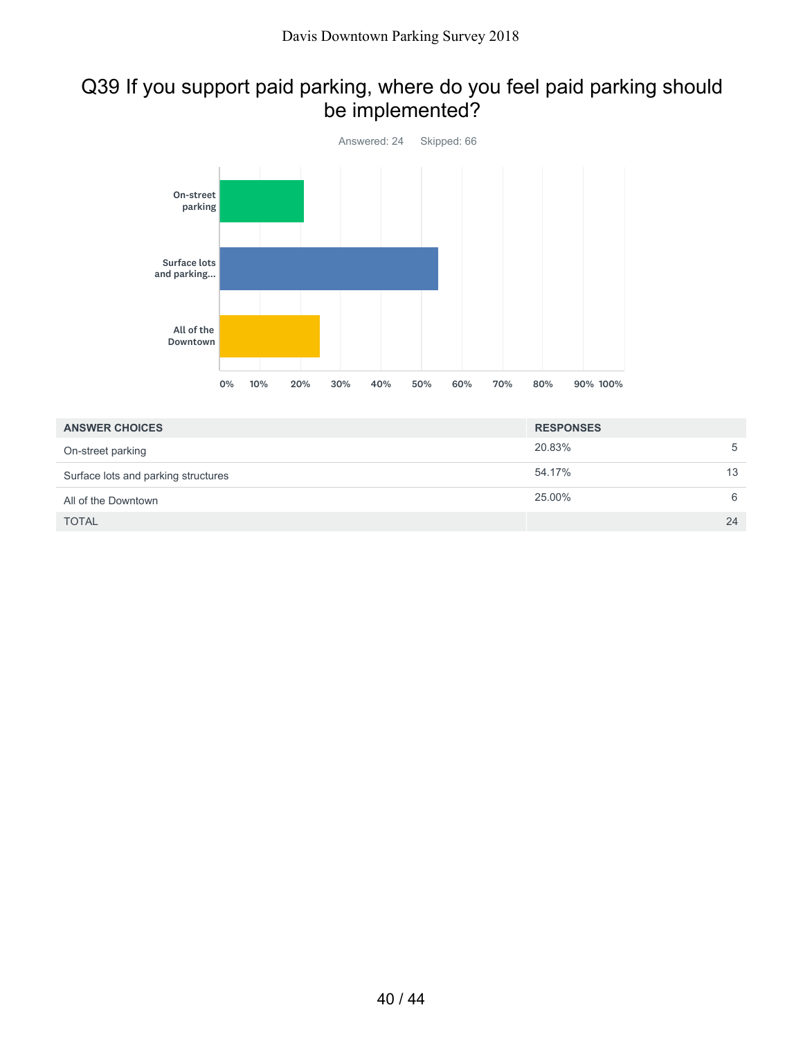# Q39 If you support paid parking, where do you feel paid parking should be implemented?



| <b>ANSWER CHOICES</b>               | <b>RESPONSES</b> |
|-------------------------------------|------------------|
| On-street parking                   | 20.83%<br>5      |
| Surface lots and parking structures | 13<br>54.17%     |
| All of the Downtown                 | 25.00%<br>6      |
| <b>TOTAL</b>                        | 24               |